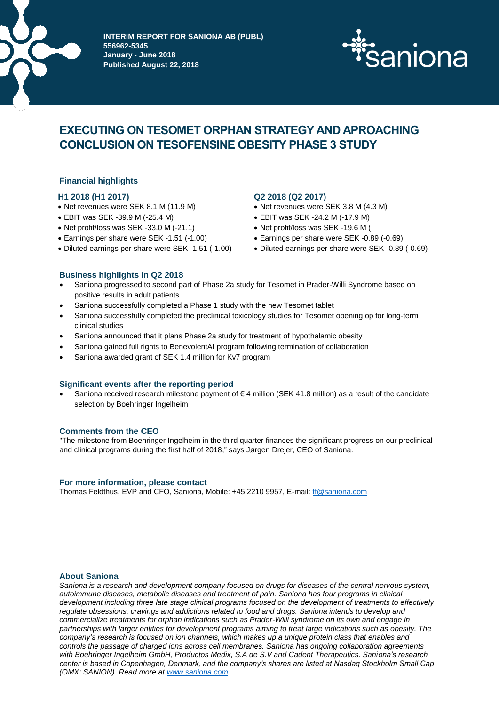

**INTERIM REPORT FOR SANIONA AB (PUBL) 556962-5345 January - June 2018 Published August 22, 2018**



# **EXECUTING ON TESOMET ORPHAN STRATEGY AND APROACHING CONCLUSION ON TESOFENSINE OBESITY PHASE 3 STUDY**

# **Financial highlights**

- Net revenues were SEK 8.1 M (11.9 M) Net revenues were SEK 3.8 M (4.3 M)
- EBIT was SEK -39.9 M (-25.4 M)
- Net profit/loss was SEK -33.0 M (-21.1)
- Earnings per share were SEK -1.51 (-1.00) Earnings per share were SEK -0.89 (-0.69)
- Diluted earnings per share were SEK -1.51 (-1.00) Diluted earnings per share were SEK -0.89 (-0.69)

# **H1 2018 (H1 2017) Q2 2018 (Q2 2017)**

- 
- EBIT was SEK -24.2 M (-17.9 M)
- Net profit/loss was SEK -19.6 M (
- 
- 

# **Business highlights in Q2 2018**

- Saniona progressed to second part of Phase 2a study for Tesomet in Prader-Willi Syndrome based on positive results in adult patients
- Saniona successfully completed a Phase 1 study with the new Tesomet tablet
- Saniona successfully completed the preclinical toxicology studies for Tesomet opening op for long-term clinical studies
- Saniona announced that it plans Phase 2a study for treatment of hypothalamic obesity
- Saniona gained full rights to BenevolentAI program following termination of collaboration
- Saniona awarded grant of SEK 1.4 million for Kv7 program

#### **Significant events after the reporting period**

Saniona received research milestone payment of  $\epsilon$  4 million (SEK 41.8 million) as a result of the candidate selection by Boehringer Ingelheim

#### **Comments from the CEO**

"The milestone from Boehringer Ingelheim in the third quarter finances the significant progress on our preclinical and clinical programs during the first half of 2018," says Jørgen Drejer, CEO of Saniona.

#### **For more information, please contact**

Thomas Feldthus, EVP and CFO, Saniona, Mobile: +45 2210 9957, E-mail: [tf@saniona.com](mailto:tf@saniona.com)

#### **About Saniona**

*Saniona is a research and development company focused on drugs for diseases of the central nervous system, autoimmune diseases, metabolic diseases and treatment of pain. Saniona has four programs in clinical development including three late stage clinical programs focused on the development of treatments to effectively regulate obsessions, cravings and addictions related to food and drugs. Saniona intends to develop and commercialize treatments for orphan indications such as Prader-Willi syndrome on its own and engage in partnerships with larger entities for development programs aiming to treat large indications such as obesity. The company's research is focused on ion channels, which makes up a unique protein class that enables and controls the passage of charged ions across cell membranes. Saniona has ongoing collaboration agreements with Boehringer Ingelheim GmbH, Productos Medix, S.A de S.V and Cadent Therapeutics. Saniona's research center is based in Copenhagen, Denmark, and the company's shares are listed at Nasdaq Stockholm Small Cap (OMX: SANION). Read more at [www.saniona.com.](http://www.saniona.com/)*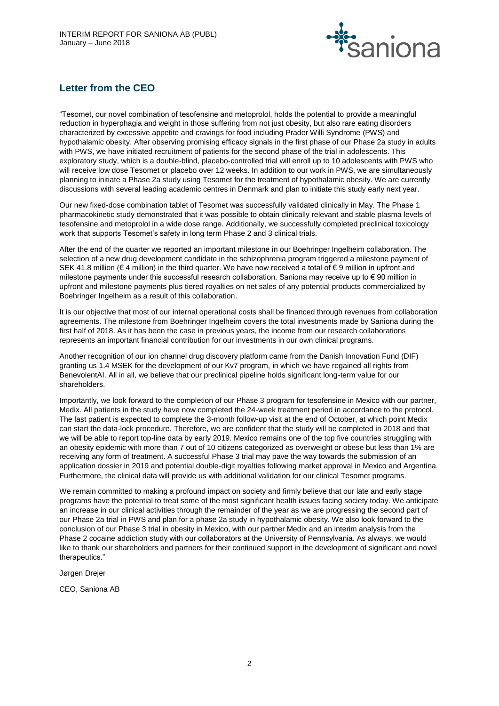

# **Letter from the CEO**

"Tesomet, our novel combination of tesofensine and metoprolol, holds the potential to provide a meaningful reduction in hyperphagia and weight in those suffering from not just obesity, but also rare eating disorders characterized by excessive appetite and cravings for food including Prader Willi Syndrome (PWS) and hypothalamic obesity. After observing promising efficacy signals in the first phase of our Phase 2a study in adults with PWS, we have initiated recruitment of patients for the second phase of the trial in adolescents. This exploratory study, which is a double-blind, placebo-controlled trial will enroll up to 10 adolescents with PWS who will receive low dose Tesomet or placebo over 12 weeks. In addition to our work in PWS, we are simultaneously planning to initiate a Phase 2a study using Tesomet for the treatment of hypothalamic obesity. We are currently discussions with several leading academic centres in Denmark and plan to initiate this study early next year.

Our new fixed-dose combination tablet of Tesomet was successfully validated clinically in May. The Phase 1 pharmacokinetic study demonstrated that it was possible to obtain clinically relevant and stable plasma levels of tesofensine and metoprolol in a wide dose range. Additionally, we successfully completed preclinical toxicology work that supports Tesomet's safety in long term Phase 2 and 3 clinical trials.

After the end of the quarter we reported an important milestone in our Boehringer Ingelheim collaboration. The selection of a new drug development candidate in the schizophrenia program triggered a milestone payment of SEK 41.8 million (€ 4 million) in the third quarter. We have now received a total of € 9 million in upfront and milestone payments under this successful research collaboration. Saniona may receive up to € 90 million in upfront and milestone payments plus tiered royalties on net sales of any potential products commercialized by Boehringer Ingelheim as a result of this collaboration.

It is our objective that most of our internal operational costs shall be financed through revenues from collaboration agreements. The milestone from Boehringer Ingelheim covers the total investments made by Saniona during the first half of 2018. As it has been the case in previous years, the income from our research collaborations represents an important financial contribution for our investments in our own clinical programs.

Another recognition of our ion channel drug discovery platform came from the Danish Innovation Fund (DIF) granting us 1.4 MSEK for the development of our Kv7 program, in which we have regained all rights from BenevolentAI. All in all, we believe that our preclinical pipeline holds significant long-term value for our shareholders.

Importantly, we look forward to the completion of our Phase 3 program for tesofensine in Mexico with our partner, Medix. All patients in the study have now completed the 24-week treatment period in accordance to the protocol. The last patient is expected to complete the 3-month follow-up visit at the end of October, at which point Medix can start the data-lock procedure. Therefore, we are confident that the study will be completed in 2018 and that we will be able to report top-line data by early 2019. Mexico remains one of the top five countries struggling with an obesity epidemic with more than 7 out of 10 citizens categorized as overweight or obese but less than 1% are receiving any form of treatment. A successful Phase 3 trial may pave the way towards the submission of an application dossier in 2019 and potential double-digit royalties following market approval in Mexico and Argentina. Furthermore, the clinical data will provide us with additional validation for our clinical Tesomet programs.

We remain committed to making a profound impact on society and firmly believe that our late and early stage programs have the potential to treat some of the most significant health issues facing society today. We anticipate an increase in our clinical activities through the remainder of the year as we are progressing the second part of our Phase 2a trial in PWS and plan for a phase 2a study in hypothalamic obesity. We also look forward to the conclusion of our Phase 3 trial in obesity in Mexico, with our partner Medix and an interim analysis from the Phase 2 cocaine addiction study with our collaborators at the University of Pennsylvania. As always, we would like to thank our shareholders and partners for their continued support in the development of significant and novel therapeutics."

Jørgen Drejer

CEO, Saniona AB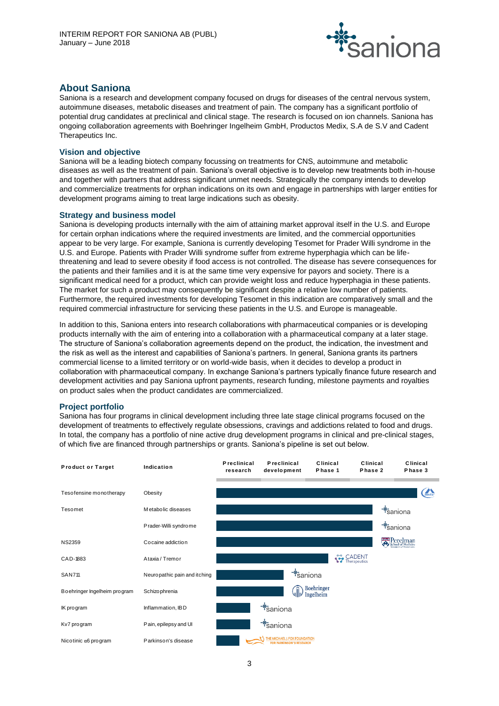

# **About Saniona**

Saniona is a research and development company focused on drugs for diseases of the central nervous system, autoimmune diseases, metabolic diseases and treatment of pain. The company has a significant portfolio of potential drug candidates at preclinical and clinical stage. The research is focused on ion channels. Saniona has ongoing collaboration agreements with Boehringer Ingelheim GmbH, Productos Medix, S.A de S.V and Cadent Therapeutics Inc.

# **Vision and objective**

Saniona will be a leading biotech company focussing on treatments for CNS, autoimmune and metabolic diseases as well as the treatment of pain. Saniona's overall objective is to develop new treatments both in-house and together with partners that address significant unmet needs. Strategically the company intends to develop and commercialize treatments for orphan indications on its own and engage in partnerships with larger entities for development programs aiming to treat large indications such as obesity.

# **Strategy and business model**

Saniona is developing products internally with the aim of attaining market approval itself in the U.S. and Europe for certain orphan indications where the required investments are limited, and the commercial opportunities appear to be very large. For example, Saniona is currently developing Tesomet for Prader Willi syndrome in the U.S. and Europe. Patients with Prader Willi syndrome suffer from extreme hyperphagia which can be lifethreatening and lead to severe obesity if food access is not controlled. The disease has severe consequences for the patients and their families and it is at the same time very expensive for payors and society. There is a significant medical need for a product, which can provide weight loss and reduce hyperphagia in these patients. The market for such a product may consequently be significant despite a relative low number of patients. Furthermore, the required investments for developing Tesomet in this indication are comparatively small and the required commercial infrastructure for servicing these patients in the U.S. and Europe is manageable.

In addition to this, Saniona enters into research collaborations with pharmaceutical companies or is developing products internally with the aim of entering into a collaboration with a pharmaceutical company at a later stage. The structure of Saniona's collaboration agreements depend on the product, the indication, the investment and the risk as well as the interest and capabilities of Saniona's partners. In general, Saniona grants its partners commercial license to a limited territory or on world-wide basis, when it decides to develop a product in collaboration with pharmaceutical company. In exchange Saniona's partners typically finance future research and development activities and pay Saniona upfront payments, research funding, milestone payments and royalties on product sales when the product candidates are commercialized.

# **Project portfolio**

Saniona has four programs in clinical development including three late stage clinical programs focused on the development of treatments to effectively regulate obsessions, cravings and addictions related to food and drugs. In total, the company has a portfolio of nine active drug development programs in clinical and pre-clinical stages,

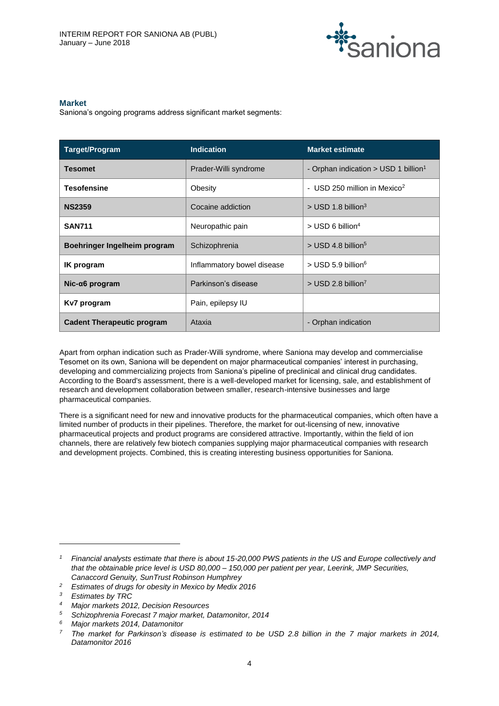

# **Market**

Saniona's ongoing programs address significant market segments:

| <b>Target/Program</b>             | <b>Indication</b>          | <b>Market estimate</b>                             |
|-----------------------------------|----------------------------|----------------------------------------------------|
| Tesomet                           | Prader-Willi syndrome      | - Orphan indication $>$ USD 1 billion <sup>1</sup> |
| <b>Tesofensine</b>                | Obesity                    | - USD 250 million in Mexico <sup>2</sup>           |
| <b>NS2359</b>                     | Cocaine addiction          | $>$ USD 1.8 billion <sup>3</sup>                   |
| <b>SAN711</b>                     | Neuropathic pain           | $>$ USD 6 billion <sup>4</sup>                     |
| Boehringer Ingelheim program      | Schizophrenia              | $>$ USD 4.8 billion <sup>5</sup>                   |
| <b>IK</b> program                 | Inflammatory bowel disease | $>$ USD 5.9 billion <sup>6</sup>                   |
| $Nic-a6$ program                  | Parkinson's disease        | $>$ USD 2.8 billion <sup>7</sup>                   |
| Kv7 program                       | Pain, epilepsy IU          |                                                    |
| <b>Cadent Therapeutic program</b> | Ataxia                     | - Orphan indication                                |

Apart from orphan indication such as Prader-Willi syndrome, where Saniona may develop and commercialise Tesomet on its own, Saniona will be dependent on major pharmaceutical companies' interest in purchasing, developing and commercializing projects from Saniona's pipeline of preclinical and clinical drug candidates. According to the Board's assessment, there is a well-developed market for licensing, sale, and establishment of research and development collaboration between smaller, research-intensive businesses and large pharmaceutical companies.

There is a significant need for new and innovative products for the pharmaceutical companies, which often have a limited number of products in their pipelines. Therefore, the market for out-licensing of new, innovative pharmaceutical projects and product programs are considered attractive. Importantly, within the field of ion channels, there are relatively few biotech companies supplying major pharmaceutical companies with research and development projects. Combined, this is creating interesting business opportunities for Saniona.

l

*<sup>1</sup> Financial analysts estimate that there is about 15-20,000 PWS patients in the US and Europe collectively and that the obtainable price level is USD 80,000 – 150,000 per patient per year, Leerink, JMP Securities, Canaccord Genuity, SunTrust Robinson Humphrey*

*<sup>2</sup> Estimates of drugs for obesity in Mexico by Medix 2016*

*<sup>3</sup> Estimates by TRC*

*<sup>4</sup> Major markets 2012, Decision Resources*

*<sup>5</sup> Schizophrenia Forecast 7 major market, Datamonitor, 2014*

*<sup>6</sup> Major markets 2014, Datamonitor*

*<sup>7</sup> The market for Parkinson's disease is estimated to be USD 2.8 billion in the 7 major markets in 2014, Datamonitor 2016*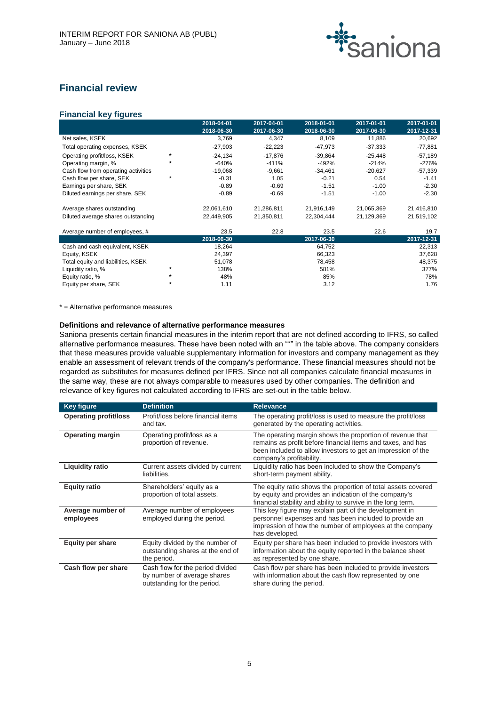

# **Financial review**

# **Financial key figures**

|                                     |         | 2018-04-01 | 2017-04-01 | 2018-01-01 | 2017-01-01 | 2017-01-01 |
|-------------------------------------|---------|------------|------------|------------|------------|------------|
|                                     |         | 2018-06-30 | 2017-06-30 | 2018-06-30 | 2017-06-30 | 2017-12-31 |
| Net sales, KSEK                     |         | 3,769      | 4,347      | 8,109      | 11,886     | 20,692     |
| Total operating expenses, KSEK      |         | $-27,903$  | $-22,223$  | $-47,973$  | $-37,333$  | $-77,881$  |
| Operating profit/loss, KSEK         | $\star$ | $-24,134$  | $-17,876$  | $-39,864$  | $-25,448$  | $-57,189$  |
| Operating margin, %                 | $\ast$  | $-640%$    | $-411%$    | $-492%$    | $-214%$    | $-276%$    |
| Cash flow from operating activities |         | $-19,068$  | $-9,661$   | $-34,461$  | $-20,627$  | $-57,339$  |
| Cash flow per share, SEK            |         | $-0.31$    | 1.05       | $-0.21$    | 0.54       | $-1.41$    |
| Earnings per share, SEK             |         | $-0.89$    | $-0.69$    | $-1.51$    | $-1.00$    | $-2.30$    |
| Diluted earnings per share, SEK     |         | $-0.89$    | $-0.69$    | $-1.51$    | $-1.00$    | $-2.30$    |
| Average shares outstanding          |         | 22,061,610 | 21,286,811 | 21,916,149 | 21,065,369 | 21,416,810 |
| Diluted average shares outstanding  |         | 22,449,905 | 21,350,811 | 22,304,444 | 21,129,369 | 21,519,102 |
| Average number of employees, #      |         | 23.5       | 22.8       | 23.5       | 22.6       | 19.7       |
|                                     |         | 2018-06-30 |            | 2017-06-30 |            | 2017-12-31 |
| Cash and cash equivalent, KSEK      |         | 18,264     |            | 64,752     |            | 22,313     |
| Equity, KSEK                        |         | 24,397     |            | 66,323     |            | 37,628     |
| Total equity and liabilities, KSEK  |         | 51,078     |            | 78,458     |            | 48,375     |
| Liquidity ratio, %                  | $\star$ | 138%       |            | 581%       |            | 377%       |
| Equity ratio, %                     | $\star$ | 48%        |            | 85%        |            | 78%        |
| Equity per share, SEK               |         | 1.11       |            | 3.12       |            | 1.76       |

\* = Alternative performance measures

#### **Definitions and relevance of alternative performance measures**

Saniona presents certain financial measures in the interim report that are not defined according to IFRS, so called alternative performance measures. These have been noted with an "\*" in the table above. The company considers that these measures provide valuable supplementary information for investors and company management as they enable an assessment of relevant trends of the company's performance. These financial measures should not be regarded as substitutes for measures defined per IFRS. Since not all companies calculate financial measures in the same way, these are not always comparable to measures used by other companies. The definition and relevance of key figures not calculated according to IFRS are set-out in the table below.

| <b>Key figure</b>              | <b>Definition</b>                                                                              | <b>Relevance</b>                                                                                                                                                                                                     |
|--------------------------------|------------------------------------------------------------------------------------------------|----------------------------------------------------------------------------------------------------------------------------------------------------------------------------------------------------------------------|
| <b>Operating profit/loss</b>   | Profit/loss before financial items<br>and tax.                                                 | The operating profit/loss is used to measure the profit/loss<br>generated by the operating activities.                                                                                                               |
| <b>Operating margin</b>        | Operating profit/loss as a<br>proportion of revenue.                                           | The operating margin shows the proportion of revenue that<br>remains as profit before financial items and taxes, and has<br>been included to allow investors to get an impression of the<br>company's profitability. |
| <b>Liquidity ratio</b>         | Current assets divided by current<br>liabilities.                                              | Liquidity ratio has been included to show the Company's<br>short-term payment ability.                                                                                                                               |
| <b>Equity ratio</b>            | Shareholders' equity as a<br>proportion of total assets.                                       | The equity ratio shows the proportion of total assets covered<br>by equity and provides an indication of the company's<br>financial stability and ability to survive in the long term.                               |
| Average number of<br>employees | Average number of employees<br>employed during the period.                                     | This key figure may explain part of the development in<br>personnel expenses and has been included to provide an<br>impression of how the number of employees at the company<br>has developed.                       |
| <b>Equity per share</b>        | Equity divided by the number of<br>outstanding shares at the end of<br>the period.             | Equity per share has been included to provide investors with<br>information about the equity reported in the balance sheet<br>as represented by one share.                                                           |
| Cash flow per share            | Cash flow for the period divided<br>by number of average shares<br>outstanding for the period. | Cash flow per share has been included to provide investors<br>with information about the cash flow represented by one<br>share during the period.                                                                    |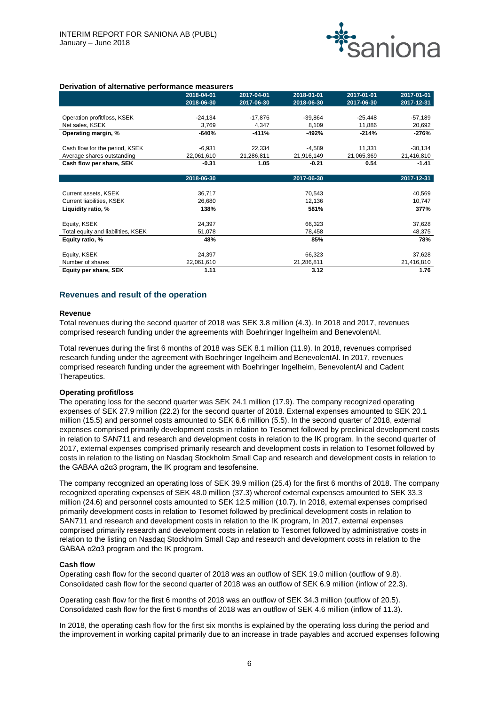

|  |  | Derivation of alternative performance measurers |  |
|--|--|-------------------------------------------------|--|
|--|--|-------------------------------------------------|--|

|                                    | 2018-04-01 | 2017-04-01 | 2018-01-01 | 2017-01-01 | 2017-01-01 |
|------------------------------------|------------|------------|------------|------------|------------|
|                                    | 2018-06-30 | 2017-06-30 | 2018-06-30 | 2017-06-30 | 2017-12-31 |
|                                    |            |            |            |            |            |
| Operation profit/loss, KSEK        | $-24,134$  | $-17,876$  | $-39,864$  | $-25,448$  | $-57,189$  |
| Net sales, KSEK                    | 3,769      | 4,347      | 8,109      | 11,886     | 20,692     |
| Operating margin, %                | $-640%$    | $-411%$    | -492%      | $-214%$    | -276%      |
|                                    |            |            |            |            |            |
| Cash flow for the period, KSEK     | $-6,931$   | 22,334     | $-4,589$   | 11,331     | $-30,134$  |
| Average shares outstanding         | 22,061,610 | 21,286,811 | 21,916,149 | 21,065,369 | 21,416,810 |
| Cash flow per share, SEK           | $-0.31$    | 1.05       | $-0.21$    | 0.54       | $-1.41$    |
|                                    |            |            |            |            |            |
|                                    | 2018-06-30 |            | 2017-06-30 |            | 2017-12-31 |
|                                    |            |            |            |            |            |
| Current assets, KSEK               | 36,717     |            | 70,543     |            | 40,569     |
| Current liabilities, KSEK          | 26,680     |            | 12,136     |            | 10,747     |
| Liquidity ratio, %                 | 138%       |            | 581%       |            | 377%       |
|                                    |            |            |            |            |            |
| Equity, KSEK                       | 24,397     |            | 66,323     |            | 37,628     |
| Total equity and liabilities, KSEK | 51,078     |            | 78,458     |            | 48,375     |
| Equity ratio, %                    | 48%        |            | 85%        |            | 78%        |
|                                    |            |            |            |            |            |
| Equity, KSEK                       | 24,397     |            | 66,323     |            | 37,628     |
| Number of shares                   | 22,061,610 |            | 21,286,811 |            | 21,416,810 |
| Equity per share, SEK              | 1.11       |            | 3.12       |            | 1.76       |

#### **Revenues and result of the operation**

#### **Revenue**

Total revenues during the second quarter of 2018 was SEK 3.8 million (4.3). In 2018 and 2017, revenues comprised research funding under the agreements with Boehringer Ingelheim and BenevolentAl.

Total revenues during the first 6 months of 2018 was SEK 8.1 million (11.9). In 2018, revenues comprised research funding under the agreement with Boehringer Ingelheim and BenevolentAl. In 2017, revenues comprised research funding under the agreement with Boehringer Ingelheim, BenevolentAl and Cadent Therapeutics.

#### **Operating profit/loss**

The operating loss for the second quarter was SEK 24.1 million (17.9). The company recognized operating expenses of SEK 27.9 million (22.2) for the second quarter of 2018. External expenses amounted to SEK 20.1 million (15.5) and personnel costs amounted to SEK 6.6 million (5.5). In the second quarter of 2018, external expenses comprised primarily development costs in relation to Tesomet followed by preclinical development costs in relation to SAN711 and research and development costs in relation to the IK program. In the second quarter of 2017, external expenses comprised primarily research and development costs in relation to Tesomet followed by costs in relation to the listing on Nasdaq Stockholm Small Cap and research and development costs in relation to the GABAA α2α3 program, the IK program and tesofensine.

The company recognized an operating loss of SEK 39.9 million (25.4) for the first 6 months of 2018. The company recognized operating expenses of SEK 48.0 million (37.3) whereof external expenses amounted to SEK 33.3 million (24.6) and personnel costs amounted to SEK 12.5 million (10.7). In 2018, external expenses comprised primarily development costs in relation to Tesomet followed by preclinical development costs in relation to SAN711 and research and development costs in relation to the IK program, In 2017, external expenses comprised primarily research and development costs in relation to Tesomet followed by administrative costs in relation to the listing on Nasdaq Stockholm Small Cap and research and development costs in relation to the GABAA α2α3 program and the IK program.

#### **Cash flow**

Operating cash flow for the second quarter of 2018 was an outflow of SEK 19.0 million (outflow of 9.8). Consolidated cash flow for the second quarter of 2018 was an outflow of SEK 6.9 million (inflow of 22.3).

Operating cash flow for the first 6 months of 2018 was an outflow of SEK 34.3 million (outflow of 20.5). Consolidated cash flow for the first 6 months of 2018 was an outflow of SEK 4.6 million (inflow of 11.3).

In 2018, the operating cash flow for the first six months is explained by the operating loss during the period and the improvement in working capital primarily due to an increase in trade payables and accrued expenses following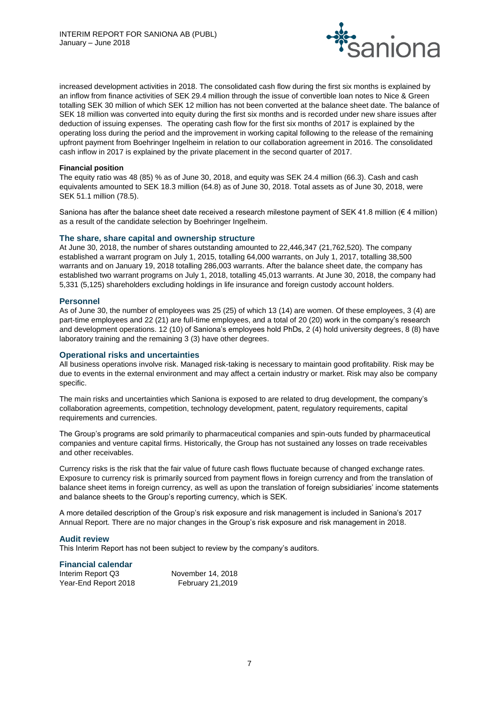

increased development activities in 2018. The consolidated cash flow during the first six months is explained by an inflow from finance activities of SEK 29.4 million through the issue of convertible loan notes to Nice & Green totalling SEK 30 million of which SEK 12 million has not been converted at the balance sheet date. The balance of SEK 18 million was converted into equity during the first six months and is recorded under new share issues after deduction of issuing expenses. The operating cash flow for the first six months of 2017 is explained by the operating loss during the period and the improvement in working capital following to the release of the remaining upfront payment from Boehringer Ingelheim in relation to our collaboration agreement in 2016. The consolidated cash inflow in 2017 is explained by the private placement in the second quarter of 2017.

## **Financial position**

The equity ratio was 48 (85) % as of June 30, 2018, and equity was SEK 24.4 million (66.3). Cash and cash equivalents amounted to SEK 18.3 million (64.8) as of June 30, 2018. Total assets as of June 30, 2018, were SEK 51.1 million (78.5).

Saniona has after the balance sheet date received a research milestone payment of SEK 41.8 million ( $\in$  4 million) as a result of the candidate selection by Boehringer Ingelheim.

# **The share, share capital and ownership structure**

At June 30, 2018, the number of shares outstanding amounted to 22,446,347 (21,762,520). The company established a warrant program on July 1, 2015, totalling 64,000 warrants, on July 1, 2017, totalling 38,500 warrants and on January 19, 2018 totalling 286,003 warrants. After the balance sheet date, the company has established two warrant programs on July 1, 2018, totalling 45,013 warrants. At June 30, 2018, the company had 5,331 (5,125) shareholders excluding holdings in life insurance and foreign custody account holders.

# **Personnel**

As of June 30, the number of employees was 25 (25) of which 13 (14) are women. Of these employees, 3 (4) are part-time employees and 22 (21) are full-time employees, and a total of 20 (20) work in the company's research and development operations. 12 (10) of Saniona's employees hold PhDs, 2 (4) hold university degrees, 8 (8) have laboratory training and the remaining 3 (3) have other degrees.

#### **Operational risks and uncertainties**

All business operations involve risk. Managed risk-taking is necessary to maintain good profitability. Risk may be due to events in the external environment and may affect a certain industry or market. Risk may also be company specific.

The main risks and uncertainties which Saniona is exposed to are related to drug development, the company's collaboration agreements, competition, technology development, patent, regulatory requirements, capital requirements and currencies.

The Group's programs are sold primarily to pharmaceutical companies and spin-outs funded by pharmaceutical companies and venture capital firms. Historically, the Group has not sustained any losses on trade receivables and other receivables.

Currency risks is the risk that the fair value of future cash flows fluctuate because of changed exchange rates. Exposure to currency risk is primarily sourced from payment flows in foreign currency and from the translation of balance sheet items in foreign currency, as well as upon the translation of foreign subsidiaries' income statements and balance sheets to the Group's reporting currency, which is SEK.

A more detailed description of the Group's risk exposure and risk management is included in Saniona's 2017 Annual Report. There are no major changes in the Group's risk exposure and risk management in 2018.

# **Audit review**

This Interim Report has not been subject to review by the company's auditors.

#### **Financial calendar**

| Interim Report Q3    | November 14, 2018       |
|----------------------|-------------------------|
| Year-End Report 2018 | <b>February 21,2019</b> |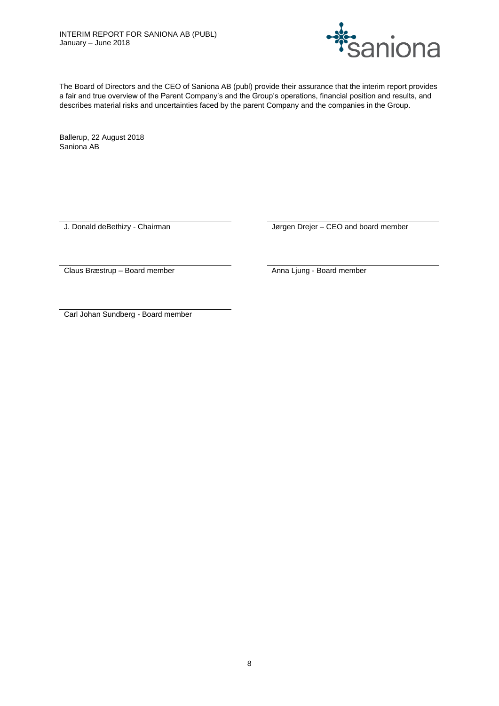

The Board of Directors and the CEO of Saniona AB (publ) provide their assurance that the interim report provides a fair and true overview of the Parent Company's and the Group's operations, financial position and results, and describes material risks and uncertainties faced by the parent Company and the companies in the Group.

Ballerup, 22 August 2018 Saniona AB

J. Donald deBethizy - Chairman Jørgen Drejer – CEO and board member

Claus Bræstrup – Board member Anna Ljung - Board member

Carl Johan Sundberg - Board member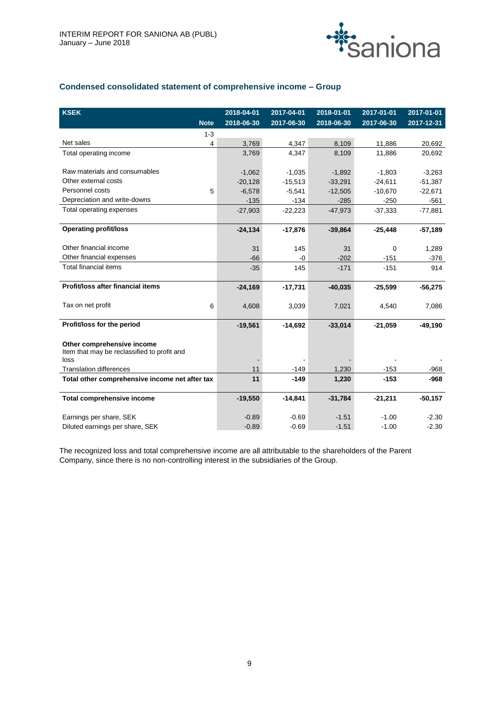

# **Condensed consolidated statement of comprehensive income – Group**

| <b>KSEK</b>                                    | 2018-04-01 | 2017-04-01 | 2018-01-01 | 2017-01-01  | 2017-01-01 |
|------------------------------------------------|------------|------------|------------|-------------|------------|
| <b>Note</b>                                    | 2018-06-30 | 2017-06-30 | 2018-06-30 | 2017-06-30  | 2017-12-31 |
| $1 - 3$                                        |            |            |            |             |            |
| Net sales                                      | 3,769<br>4 | 4,347      | 8,109      | 11,886      | 20,692     |
| Total operating income                         | 3,769      | 4,347      | 8,109      | 11,886      | 20,692     |
|                                                |            |            |            |             |            |
| Raw materials and consumables                  | $-1,062$   | $-1,035$   | $-1,892$   | $-1,803$    | $-3,263$   |
| Other external costs                           | $-20,128$  | $-15,513$  | $-33,291$  | $-24,611$   | $-51,387$  |
| Personnel costs<br>5                           | $-6,578$   | $-5,541$   | $-12,505$  | $-10,670$   | $-22,671$  |
| Depreciation and write-downs                   | $-135$     | $-134$     | $-285$     | $-250$      | $-561$     |
| Total operating expenses                       | $-27,903$  | $-22,223$  | $-47,973$  | $-37,333$   | $-77,881$  |
|                                                |            |            |            |             |            |
| <b>Operating profit/loss</b>                   | $-24,134$  | $-17,876$  | $-39,864$  | $-25,448$   | $-57,189$  |
|                                                |            |            |            |             |            |
| Other financial income                         | 31         | 145        | 31         | $\mathbf 0$ | 1,289      |
| Other financial expenses                       | $-66$      | -0         | $-202$     | $-151$      | $-376$     |
| Total financial items                          | $-35$      | 145        | $-171$     | $-151$      | 914        |
|                                                |            |            |            |             |            |
| Profit/loss after financial items              | $-24,169$  | $-17,731$  | $-40,035$  | $-25,599$   | $-56,275$  |
| Tax on net profit<br>6                         | 4,608      | 3,039      | 7,021      | 4,540       | 7,086      |
|                                                |            |            |            |             |            |
| Profit/loss for the period                     | $-19,561$  | $-14,692$  | $-33,014$  | $-21,059$   | $-49,190$  |
|                                                |            |            |            |             |            |
| Other comprehensive income                     |            |            |            |             |            |
| Item that may be reclassified to profit and    |            |            |            |             |            |
| loss                                           |            |            |            |             |            |
| <b>Translation differences</b>                 | 11         | $-149$     | 1,230      | $-153$      | $-968$     |
| Total other comprehensive income net after tax | 11         | $-149$     | 1,230      | $-153$      | $-968$     |
| Total comprehensive income                     | $-19,550$  | $-14,841$  | $-31,784$  | $-21,211$   | $-50,157$  |
|                                                |            |            |            |             |            |
| Earnings per share, SEK                        | $-0.89$    | $-0.69$    | $-1.51$    | $-1.00$     | $-2.30$    |
| Diluted earnings per share, SEK                | $-0.89$    | $-0.69$    | $-1.51$    | $-1.00$     | $-2.30$    |

The recognized loss and total comprehensive income are all attributable to the shareholders of the Parent Company, since there is no non-controlling interest in the subsidiaries of the Group.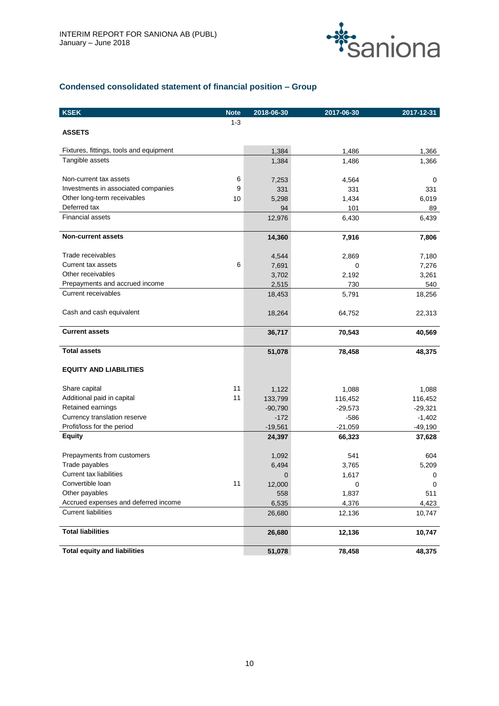

# **Condensed consolidated statement of financial position – Group**

| <b>KSEK</b>                             | <b>Note</b> | 2018-06-30   | 2017-06-30   | 2017-12-31   |
|-----------------------------------------|-------------|--------------|--------------|--------------|
|                                         | $1 - 3$     |              |              |              |
| <b>ASSETS</b>                           |             |              |              |              |
| Fixtures, fittings, tools and equipment |             | 1,384        | 1,486        | 1,366        |
| Tangible assets                         |             | 1,384        | 1,486        | 1,366        |
| Non-current tax assets                  | 6           |              |              |              |
| Investments in associated companies     | 9           | 7,253        | 4,564<br>331 | 0            |
| Other long-term receivables             | 10          | 331<br>5,298 | 1,434        | 331<br>6,019 |
| Deferred tax                            |             | 94           | 101          | 89           |
| <b>Financial assets</b>                 |             | 12,976       | 6,430        | 6,439        |
|                                         |             |              |              |              |
| <b>Non-current assets</b>               |             | 14,360       | 7,916        | 7,806        |
| Trade receivables                       |             | 4,544        | 2,869        | 7,180        |
| <b>Current tax assets</b>               | 6           | 7,691        | 0            | 7,276        |
| Other receivables                       |             | 3,702        | 2,192        | 3,261        |
| Prepayments and accrued income          |             | 2,515        | 730          | 540          |
| <b>Current receivables</b>              |             | 18,453       | 5,791        | 18,256       |
| Cash and cash equivalent                |             | 18,264       | 64,752       | 22,313       |
| <b>Current assets</b>                   |             | 36,717       | 70,543       | 40,569       |
| <b>Total assets</b>                     |             | 51,078       | 78,458       | 48,375       |
| <b>EQUITY AND LIABILITIES</b>           |             |              |              |              |
| Share capital                           | 11          | 1,122        | 1,088        | 1,088        |
| Additional paid in capital              | 11          | 133,799      | 116,452      | 116,452      |
| Retained earnings                       |             | $-90,790$    | $-29,573$    | $-29,321$    |
| Currency translation reserve            |             | $-172$       | $-586$       | $-1,402$     |
| Profit/loss for the period              |             | $-19,561$    | $-21,059$    | $-49,190$    |
| <b>Equity</b>                           |             | 24,397       | 66,323       | 37,628       |
| Prepayments from customers              |             | 1,092        | 541          | 604          |
| Trade payables                          |             | 6,494        | 3,765        | 5,209        |
| <b>Current tax liabilities</b>          |             | 0            | 1,617        | 0            |
| Convertible loan                        | 11          | 12,000       | 0            | 0            |
| Other payables                          |             | 558          | 1,837        | 511          |
| Accrued expenses and deferred income    |             | 6,535        | 4,376        | 4,423        |
| <b>Current liabilities</b>              |             | 26,680       | 12,136       | 10,747       |
| <b>Total liabilities</b>                |             | 26,680       | 12,136       | 10,747       |
| <b>Total equity and liabilities</b>     |             | 51,078       | 78,458       | 48,375       |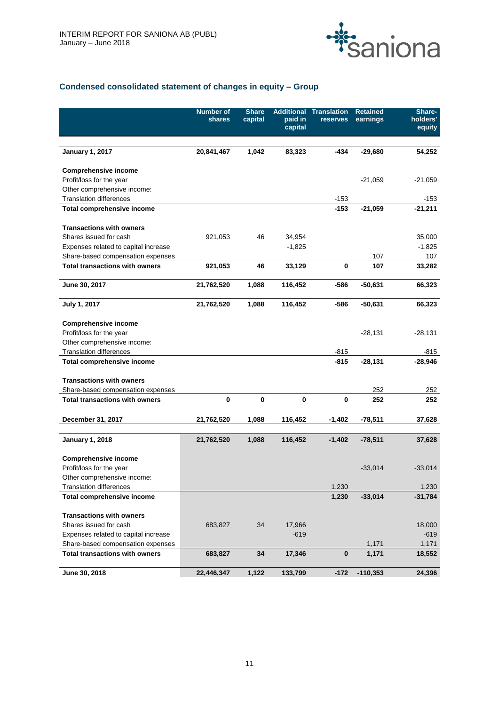

# **Condensed consolidated statement of changes in equity – Group**

|                                       | <b>Number of</b><br>shares | <b>Share</b><br>capital | <b>Additional</b><br>paid in<br>capital | <b>Translation</b><br>reserves | <b>Retained</b><br>earnings | Share-<br>holders'<br>equity |
|---------------------------------------|----------------------------|-------------------------|-----------------------------------------|--------------------------------|-----------------------------|------------------------------|
|                                       |                            |                         |                                         |                                |                             |                              |
| <b>January 1, 2017</b>                | 20,841,467                 | 1,042                   | 83,323                                  | $-434$                         | $-29,680$                   | 54,252                       |
| <b>Comprehensive income</b>           |                            |                         |                                         |                                |                             |                              |
| Profit/loss for the year              |                            |                         |                                         |                                | $-21,059$                   | $-21,059$                    |
| Other comprehensive income:           |                            |                         |                                         |                                |                             |                              |
| <b>Translation differences</b>        |                            |                         |                                         | $-153$                         |                             | $-153$                       |
| Total comprehensive income            |                            |                         |                                         | $-153$                         | $-21,059$                   | $-21,211$                    |
| <b>Transactions with owners</b>       |                            |                         |                                         |                                |                             |                              |
| Shares issued for cash                | 921,053                    | 46                      | 34,954                                  |                                |                             | 35,000                       |
| Expenses related to capital increase  |                            |                         | $-1,825$                                |                                |                             | $-1,825$                     |
| Share-based compensation expenses     |                            |                         |                                         |                                | 107                         | 107                          |
| <b>Total transactions with owners</b> | 921,053                    | 46                      | 33,129                                  | 0                              | 107                         | 33,282                       |
| June 30, 2017                         | 21,762,520                 | 1,088                   | 116,452                                 | -586                           | $-50,631$                   | 66,323                       |
| July 1, 2017                          | 21,762,520                 | 1,088                   | 116,452                                 | -586                           | $-50,631$                   | 66,323                       |
| <b>Comprehensive income</b>           |                            |                         |                                         |                                |                             |                              |
| Profit/loss for the year              |                            |                         |                                         |                                | $-28,131$                   | $-28,131$                    |
| Other comprehensive income:           |                            |                         |                                         |                                |                             |                              |
| <b>Translation differences</b>        |                            |                         |                                         | -815                           |                             | -815                         |
| Total comprehensive income            |                            |                         |                                         | -815                           | $-28,131$                   | $-28,946$                    |
| <b>Transactions with owners</b>       |                            |                         |                                         |                                |                             |                              |
| Share-based compensation expenses     |                            |                         |                                         |                                | 252                         | 252                          |
| <b>Total transactions with owners</b> | 0                          | 0                       | 0                                       | 0                              | 252                         | 252                          |
| December 31, 2017                     | 21,762,520                 | 1,088                   | 116,452                                 | $-1,402$                       | $-78,511$                   | 37,628                       |
|                                       |                            |                         |                                         |                                |                             |                              |
| <b>January 1, 2018</b>                | 21,762,520                 | 1,088                   | 116,452                                 | $-1,402$                       | $-78,511$                   | 37,628                       |
| <b>Comprehensive income</b>           |                            |                         |                                         |                                |                             |                              |
| Profit/loss for the year              |                            |                         |                                         |                                | $-33,014$                   | $-33,014$                    |
| Other comprehensive income:           |                            |                         |                                         |                                |                             |                              |
| <b>Translation differences</b>        |                            |                         |                                         | 1,230                          |                             | 1,230                        |
| Total comprehensive income            |                            |                         |                                         | 1,230                          | $-33,014$                   | $-31,784$                    |
| <b>Transactions with owners</b>       |                            |                         |                                         |                                |                             |                              |
| Shares issued for cash                | 683,827                    | 34                      | 17,966                                  |                                |                             | 18,000                       |
| Expenses related to capital increase  |                            |                         | $-619$                                  |                                |                             | $-619$                       |
| Share-based compensation expenses     |                            |                         |                                         |                                | 1,171                       | 1,171                        |
| <b>Total transactions with owners</b> | 683,827                    | 34                      | 17,346                                  | $\pmb{0}$                      | 1,171                       | 18,552                       |
| June 30, 2018                         | 22,446,347                 | 1,122                   | 133,799                                 | $-172$                         | $-110,353$                  | 24,396                       |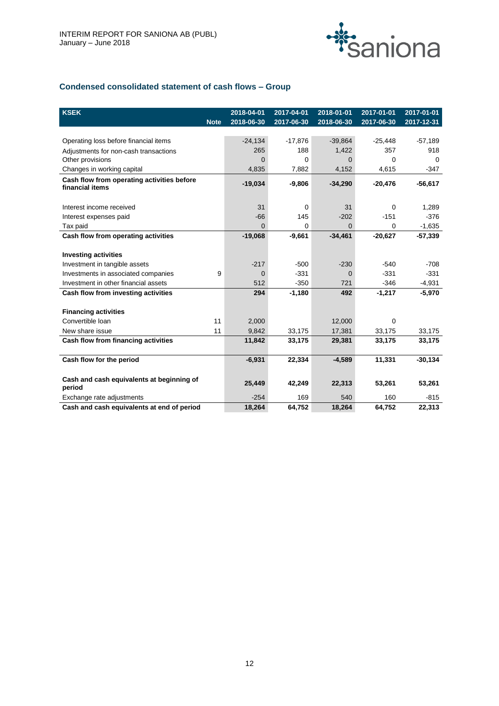

# **Condensed consolidated statement of cash flows – Group**

| <b>KSEK</b>                                                   |             | 2018-04-01 | 2017-04-01  | 2018-01-01 | 2017-01-01  | 2017-01-01 |
|---------------------------------------------------------------|-------------|------------|-------------|------------|-------------|------------|
|                                                               | <b>Note</b> | 2018-06-30 | 2017-06-30  | 2018-06-30 | 2017-06-30  | 2017-12-31 |
|                                                               |             |            |             |            |             |            |
| Operating loss before financial items                         |             | $-24,134$  | $-17,876$   | $-39,864$  | $-25,448$   | $-57,189$  |
| Adjustments for non-cash transactions                         |             | 265        | 188         | 1,422      | 357         | 918        |
| Other provisions                                              |             | $\Omega$   | $\Omega$    | $\Omega$   | $\Omega$    | $\Omega$   |
| Changes in working capital                                    |             | 4,835      | 7,882       | 4,152      | 4,615       | $-347$     |
| Cash flow from operating activities before<br>financial items |             | $-19,034$  | $-9,806$    | $-34,290$  | $-20,476$   | $-56,617$  |
| Interest income received                                      |             | 31         | 0           | 31         | $\mathbf 0$ | 1,289      |
| Interest expenses paid                                        |             | $-66$      | 145         | $-202$     | $-151$      | $-376$     |
| Tax paid                                                      |             | $\Omega$   | $\mathbf 0$ | $\Omega$   | 0           | $-1,635$   |
| Cash flow from operating activities                           |             | $-19,068$  | $-9,661$    | $-34,461$  | $-20,627$   | $-57,339$  |
|                                                               |             |            |             |            |             |            |
| <b>Investing activities</b>                                   |             |            |             |            |             |            |
| Investment in tangible assets                                 |             | $-217$     | $-500$      | $-230$     | $-540$      | $-708$     |
| Investments in associated companies                           | 9           | $\Omega$   | $-331$      | $\Omega$   | $-331$      | $-331$     |
| Investment in other financial assets                          |             | 512        | $-350$      | 721        | $-346$      | $-4,931$   |
| Cash flow from investing activities                           |             | 294        | $-1,180$    | 492        | $-1,217$    | $-5,970$   |
|                                                               |             |            |             |            |             |            |
| <b>Financing activities</b>                                   |             |            |             |            |             |            |
| Convertible Ioan                                              | 11          | 2,000      |             | 12,000     | $\Omega$    |            |
| New share issue                                               | 11          | 9,842      | 33,175      | 17,381     | 33,175      | 33,175     |
| Cash flow from financing activities                           |             | 11,842     | 33,175      | 29,381     | 33,175      | 33,175     |
| Cash flow for the period                                      |             | $-6,931$   | 22,334      | $-4,589$   | 11,331      | $-30,134$  |
| Cash and cash equivalents at beginning of<br>period           |             | 25,449     | 42,249      | 22,313     | 53,261      | 53,261     |
| Exchange rate adjustments                                     |             | $-254$     | 169         | 540        | 160         | $-815$     |
| Cash and cash equivalents at end of period                    |             | 18.264     | 64.752      | 18.264     | 64.752      | 22.313     |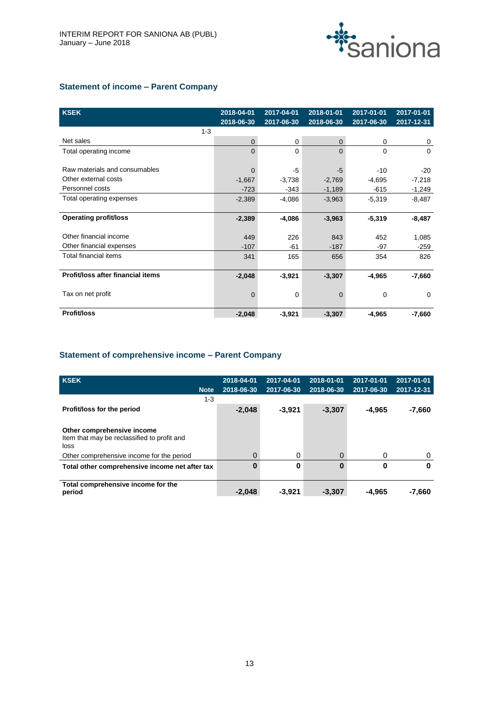

# **Statement of income – Parent Company**

| <b>KSEK</b>                       | 2018-04-01<br>2018-06-30 | 2017-04-01<br>2017-06-30 | 2018-01-01<br>2018-06-30 | 2017-01-01<br>2017-06-30 | 2017-01-01<br>$2017 - 12 - 31$ |
|-----------------------------------|--------------------------|--------------------------|--------------------------|--------------------------|--------------------------------|
| $1 - 3$                           |                          |                          |                          |                          |                                |
| Net sales                         | 0                        | 0                        | 0                        | 0                        | 0                              |
| Total operating income            | $\Omega$                 | $\Omega$                 | $\Omega$                 | $\Omega$                 | $\Omega$                       |
|                                   |                          |                          |                          |                          |                                |
| Raw materials and consumables     | $\Omega$                 | -5                       | -5                       | $-10$                    | $-20$                          |
| Other external costs              | $-1,667$                 | $-3,738$                 | $-2,769$                 | $-4,695$                 | $-7,218$                       |
| Personnel costs                   | $-723$                   | -343                     | $-1,189$                 | $-615$                   | $-1,249$                       |
| Total operating expenses          | $-2,389$                 | $-4,086$                 | $-3,963$                 | $-5,319$                 | $-8,487$                       |
|                                   |                          |                          |                          |                          |                                |
| <b>Operating profit/loss</b>      | $-2,389$                 | $-4,086$                 | $-3,963$                 | $-5,319$                 | $-8,487$                       |
|                                   |                          |                          |                          |                          |                                |
| Other financial income            | 449                      | 226                      | 843                      | 452                      | 1,085                          |
| Other financial expenses          | $-107$                   | -61                      | $-187$                   | -97                      | $-259$                         |
| Total financial items             | 341                      | 165                      | 656                      | 354                      | 826                            |
|                                   |                          |                          |                          |                          |                                |
| Profit/loss after financial items | $-2,048$                 | $-3,921$                 | $-3,307$                 | $-4,965$                 | $-7,660$                       |
|                                   |                          |                          |                          |                          |                                |
| Tax on net profit                 | 0                        | 0                        | 0                        | $\Omega$                 | $\Omega$                       |
|                                   |                          |                          |                          |                          |                                |
| <b>Profit/loss</b>                | $-2,048$                 | $-3,921$                 | $-3,307$                 | $-4,965$                 | $-7,660$                       |

# **Statement of comprehensive income – Parent Company**

| <b>KSEK</b>                                                                       | 2018-04-01 | 2017-04-01 | 2018-01-01 | 2017-01-01 | 2017-01-01 |
|-----------------------------------------------------------------------------------|------------|------------|------------|------------|------------|
| <b>Note</b>                                                                       | 2018-06-30 | 2017-06-30 | 2018-06-30 | 2017-06-30 | 2017-12-31 |
| $1 - 3$                                                                           |            |            |            |            |            |
| Profit/loss for the period                                                        | $-2,048$   | $-3,921$   | $-3,307$   | -4.965     | $-7,660$   |
|                                                                                   |            |            |            |            |            |
| Other comprehensive income<br>Item that may be reclassified to profit and<br>loss |            |            |            |            |            |
| Other comprehensive income for the period                                         | 0          | 0          | $\Omega$   | 0          | 0          |
| Total other comprehensive income net after tax                                    | O          | 0          | $\bf{0}$   | 0          | 0          |
| Total comprehensive income for the<br>period                                      | $-2.048$   | $-3.921$   | $-3,307$   | -4.965     | $-7.660$   |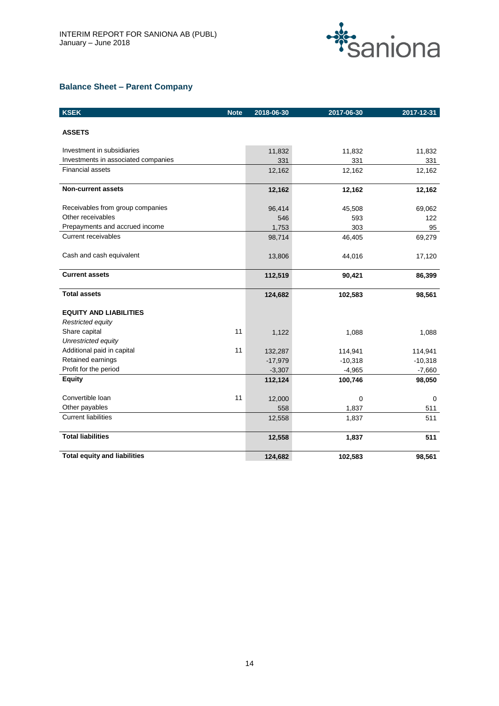

# **Balance Sheet – Parent Company**

| <b>KSEK</b>                         | <b>Note</b> | 2018-06-30 | 2017-06-30 | 2017-12-31 |
|-------------------------------------|-------------|------------|------------|------------|
| <b>ASSETS</b>                       |             |            |            |            |
| Investment in subsidiaries          |             | 11,832     | 11,832     | 11,832     |
| Investments in associated companies |             | 331        | 331        | 331        |
| <b>Financial assets</b>             |             | 12,162     | 12,162     | 12,162     |
| <b>Non-current assets</b>           |             | 12,162     | 12,162     | 12,162     |
| Receivables from group companies    |             | 96,414     | 45,508     | 69,062     |
| Other receivables                   |             | 546        | 593        | 122        |
| Prepayments and accrued income      |             | 1,753      | 303        | 95         |
| <b>Current receivables</b>          |             | 98,714     | 46,405     | 69,279     |
| Cash and cash equivalent            |             | 13,806     | 44,016     | 17,120     |
| <b>Current assets</b>               |             | 112,519    | 90,421     | 86,399     |
| <b>Total assets</b>                 |             | 124,682    | 102,583    | 98,561     |
| <b>EQUITY AND LIABILITIES</b>       |             |            |            |            |
| Restricted equity                   |             |            |            |            |
| Share capital                       | 11          | 1,122      | 1,088      | 1,088      |
| Unrestricted equity                 |             |            |            |            |
| Additional paid in capital          | 11          | 132,287    | 114,941    | 114,941    |
| Retained earnings                   |             | $-17,979$  | $-10,318$  | $-10,318$  |
| Profit for the period               |             | $-3,307$   | $-4,965$   | $-7,660$   |
| <b>Equity</b>                       |             | 112,124    | 100,746    | 98,050     |
| Convertible Ioan                    | 11          | 12,000     | 0          | 0          |
| Other payables                      |             | 558        | 1,837      | 511        |
| <b>Current liabilities</b>          |             | 12,558     | 1,837      | 511        |
| <b>Total liabilities</b>            |             | 12,558     | 1,837      | 511        |
| <b>Total equity and liabilities</b> |             | 124,682    | 102,583    | 98,561     |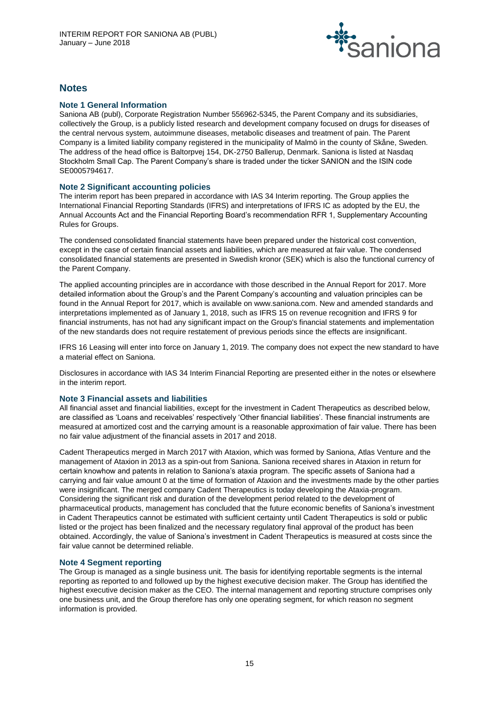

# **Notes**

# **Note 1 General Information**

Saniona AB (publ), Corporate Registration Number 556962-5345, the Parent Company and its subsidiaries, collectively the Group, is a publicly listed research and development company focused on drugs for diseases of the central nervous system, autoimmune diseases, metabolic diseases and treatment of pain. The Parent Company is a limited liability company registered in the municipality of Malmö in the county of Skåne, Sweden. The address of the head office is Baltorpvej 154, DK-2750 Ballerup, Denmark. Saniona is listed at Nasdaq Stockholm Small Cap. The Parent Company's share is traded under the ticker SANION and the ISIN code SE0005794617.

# **Note 2 Significant accounting policies**

The interim report has been prepared in accordance with IAS 34 Interim reporting. The Group applies the International Financial Reporting Standards (IFRS) and interpretations of IFRS IC as adopted by the EU, the Annual Accounts Act and the Financial Reporting Board's recommendation RFR 1, Supplementary Accounting Rules for Groups.

The condensed consolidated financial statements have been prepared under the historical cost convention, except in the case of certain financial assets and liabilities, which are measured at fair value. The condensed consolidated financial statements are presented in Swedish kronor (SEK) which is also the functional currency of the Parent Company.

The applied accounting principles are in accordance with those described in the Annual Report for 2017. More detailed information about the Group's and the Parent Company's accounting and valuation principles can be found in the Annual Report for 2017, which is available on www.saniona.com. New and amended standards and interpretations implemented as of January 1, 2018, such as IFRS 15 on revenue recognition and IFRS 9 for financial instruments, has not had any significant impact on the Group's financial statements and implementation of the new standards does not require restatement of previous periods since the effects are insignificant.

IFRS 16 Leasing will enter into force on January 1, 2019. The company does not expect the new standard to have a material effect on Saniona.

Disclosures in accordance with IAS 34 Interim Financial Reporting are presented either in the notes or elsewhere in the interim report.

# **Note 3 Financial assets and liabilities**

All financial asset and financial liabilities, except for the investment in Cadent Therapeutics as described below, are classified as 'Loans and receivables' respectively 'Other financial liabilities'. These financial instruments are measured at amortized cost and the carrying amount is a reasonable approximation of fair value. There has been no fair value adjustment of the financial assets in 2017 and 2018.

Cadent Therapeutics merged in March 2017 with Ataxion, which was formed by Saniona, Atlas Venture and the management of Ataxion in 2013 as a spin-out from Saniona. Saniona received shares in Ataxion in return for certain knowhow and patents in relation to Saniona's ataxia program. The specific assets of Saniona had a carrying and fair value amount 0 at the time of formation of Ataxion and the investments made by the other parties were insignificant. The merged company Cadent Therapeutics is today developing the Ataxia-program. Considering the significant risk and duration of the development period related to the development of pharmaceutical products, management has concluded that the future economic benefits of Saniona's investment in Cadent Therapeutics cannot be estimated with sufficient certainty until Cadent Therapeutics is sold or public listed or the project has been finalized and the necessary regulatory final approval of the product has been obtained. Accordingly, the value of Saniona's investment in Cadent Therapeutics is measured at costs since the fair value cannot be determined reliable.

# **Note 4 Segment reporting**

The Group is managed as a single business unit. The basis for identifying reportable segments is the internal reporting as reported to and followed up by the highest executive decision maker. The Group has identified the highest executive decision maker as the CEO. The internal management and reporting structure comprises only one business unit, and the Group therefore has only one operating segment, for which reason no segment information is provided.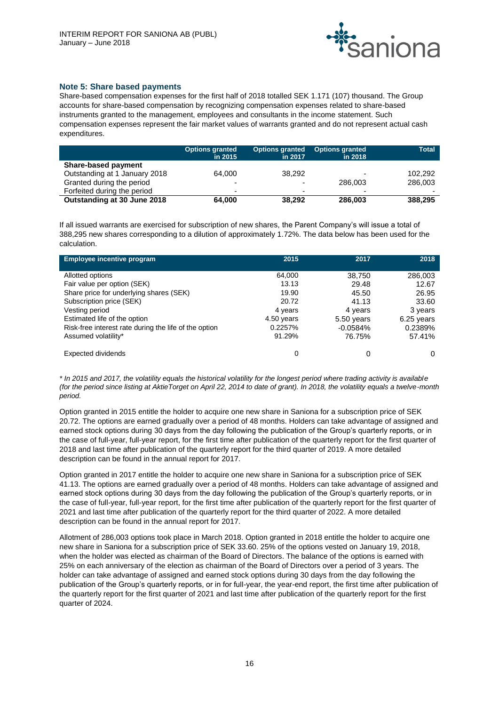

# **Note 5: Share based payments**

Share-based compensation expenses for the first half of 2018 totalled SEK 1.171 (107) thousand. The Group accounts for share-based compensation by recognizing compensation expenses related to share-based instruments granted to the management, employees and consultants in the income statement. Such compensation expenses represent the fair market values of warrants granted and do not represent actual cash expenditures.

|                               | <b>Options granted</b><br>in 2015 | Options granted<br>in 2017 | <b>Options granted</b><br>in 2018 | <b>Total</b> |
|-------------------------------|-----------------------------------|----------------------------|-----------------------------------|--------------|
| <b>Share-based payment</b>    |                                   |                            |                                   |              |
| Outstanding at 1 January 2018 | 64.000                            | 38.292                     | ۰                                 | 102.292      |
| Granted during the period     | $\overline{\phantom{0}}$          | -                          | 286,003                           | 286,003      |
| Forfeited during the period   | $\overline{\phantom{0}}$          |                            | ۰                                 |              |
| Outstanding at 30 June 2018   | 64,000                            | 38.292                     | 286,003                           | 388.295      |

If all issued warrants are exercised for subscription of new shares, the Parent Company's will issue a total of 388,295 new shares corresponding to a dilution of approximately 1.72%. The data below has been used for the calculation.

| <b>Employee incentive program</b>                     | 2015       | 2017       | 2018       |
|-------------------------------------------------------|------------|------------|------------|
| Allotted options                                      | 64,000     | 38,750     | 286,003    |
| Fair value per option (SEK)                           | 13.13      | 29.48      | 12.67      |
| Share price for underlying shares (SEK)               | 19.90      | 45.50      | 26.95      |
| Subscription price (SEK)                              | 20.72      | 41.13      | 33.60      |
| Vesting period                                        | 4 years    | 4 years    | 3 years    |
| Estimated life of the option                          | 4.50 years | 5.50 years | 6.25 years |
| Risk-free interest rate during the life of the option | 0.2257%    | $-0.0584%$ | 0.2389%    |
| Assumed volatility*                                   | 91.29%     | 76.75%     | 57.41%     |
| Expected dividends                                    | 0          | 0          |            |

*\* In 2015 and 2017, the volatility equals the historical volatility for the longest period where trading activity is available (for the period since listing at AktieTorget on April 22, 2014 to date of grant). In 2018, the volatility equals a twelve-month period.* 

Option granted in 2015 entitle the holder to acquire one new share in Saniona for a subscription price of SEK 20.72. The options are earned gradually over a period of 48 months. Holders can take advantage of assigned and earned stock options during 30 days from the day following the publication of the Group's quarterly reports, or in the case of full-year, full-year report, for the first time after publication of the quarterly report for the first quarter of 2018 and last time after publication of the quarterly report for the third quarter of 2019. A more detailed description can be found in the annual report for 2017.

Option granted in 2017 entitle the holder to acquire one new share in Saniona for a subscription price of SEK 41.13. The options are earned gradually over a period of 48 months. Holders can take advantage of assigned and earned stock options during 30 days from the day following the publication of the Group's quarterly reports, or in the case of full-year, full-year report, for the first time after publication of the quarterly report for the first quarter of 2021 and last time after publication of the quarterly report for the third quarter of 2022. A more detailed description can be found in the annual report for 2017.

Allotment of 286,003 options took place in March 2018. Option granted in 2018 entitle the holder to acquire one new share in Saniona for a subscription price of SEK 33.60. 25% of the options vested on January 19, 2018, when the holder was elected as chairman of the Board of Directors. The balance of the options is earned with 25% on each anniversary of the election as chairman of the Board of Directors over a period of 3 years. The holder can take advantage of assigned and earned stock options during 30 days from the day following the publication of the Group's quarterly reports, or in for full-year, the year-end report, the first time after publication of the quarterly report for the first quarter of 2021 and last time after publication of the quarterly report for the first quarter of 2024.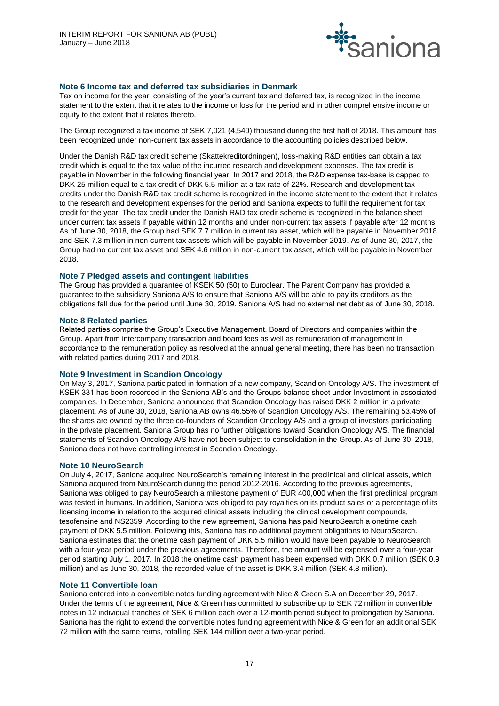

# **Note 6 Income tax and deferred tax subsidiaries in Denmark**

Tax on income for the year, consisting of the year's current tax and deferred tax, is recognized in the income statement to the extent that it relates to the income or loss for the period and in other comprehensive income or equity to the extent that it relates thereto.

The Group recognized a tax income of SEK 7,021 (4,540) thousand during the first half of 2018. This amount has been recognized under non-current tax assets in accordance to the accounting policies described below.

Under the Danish R&D tax credit scheme (Skattekreditordningen), loss-making R&D entities can obtain a tax credit which is equal to the tax value of the incurred research and development expenses. The tax credit is payable in November in the following financial year. In 2017 and 2018, the R&D expense tax-base is capped to DKK 25 million equal to a tax credit of DKK 5.5 million at a tax rate of 22%. Research and development taxcredits under the Danish R&D tax credit scheme is recognized in the income statement to the extent that it relates to the research and development expenses for the period and Saniona expects to fulfil the requirement for tax credit for the year. The tax credit under the Danish R&D tax credit scheme is recognized in the balance sheet under current tax assets if payable within 12 months and under non-current tax assets if payable after 12 months. As of June 30, 2018, the Group had SEK 7.7 million in current tax asset, which will be payable in November 2018 and SEK 7.3 million in non-current tax assets which will be payable in November 2019. As of June 30, 2017, the Group had no current tax asset and SEK 4.6 million in non-current tax asset, which will be payable in November 2018.

# **Note 7 Pledged assets and contingent liabilities**

The Group has provided a guarantee of KSEK 50 (50) to Euroclear. The Parent Company has provided a guarantee to the subsidiary Saniona A/S to ensure that Saniona A/S will be able to pay its creditors as the obligations fall due for the period until June 30, 2019. Saniona A/S had no external net debt as of June 30, 2018.

# **Note 8 Related parties**

Related parties comprise the Group's Executive Management, Board of Directors and companies within the Group. Apart from intercompany transaction and board fees as well as remuneration of management in accordance to the remuneration policy as resolved at the annual general meeting, there has been no transaction with related parties during 2017 and 2018.

# **Note 9 Investment in Scandion Oncology**

On May 3, 2017, Saniona participated in formation of a new company, Scandion Oncology A/S. The investment of KSEK 331 has been recorded in the Saniona AB's and the Groups balance sheet under Investment in associated companies. In December, Saniona announced that Scandion Oncology has raised DKK 2 million in a private placement. As of June 30, 2018, Saniona AB owns 46.55% of Scandion Oncology A/S. The remaining 53.45% of the shares are owned by the three co-founders of Scandion Oncology A/S and a group of investors participating in the private placement. Saniona Group has no further obligations toward Scandion Oncology A/S. The financial statements of Scandion Oncology A/S have not been subject to consolidation in the Group. As of June 30, 2018, Saniona does not have controlling interest in Scandion Oncology.

# **Note 10 NeuroSearch**

On July 4, 2017, Saniona acquired NeuroSearch's remaining interest in the preclinical and clinical assets, which Saniona acquired from NeuroSearch during the period 2012-2016. According to the previous agreements, Saniona was obliged to pay NeuroSearch a milestone payment of EUR 400,000 when the first preclinical program was tested in humans. In addition, Saniona was obliged to pay royalties on its product sales or a percentage of its licensing income in relation to the acquired clinical assets including the clinical development compounds, tesofensine and NS2359. According to the new agreement, Saniona has paid NeuroSearch a onetime cash payment of DKK 5.5 million. Following this, Saniona has no additional payment obligations to NeuroSearch. Saniona estimates that the onetime cash payment of DKK 5.5 million would have been payable to NeuroSearch with a four-year period under the previous agreements. Therefore, the amount will be expensed over a four-year period starting July 1, 2017. In 2018 the onetime cash payment has been expensed with DKK 0.7 million (SEK 0.9 million) and as June 30, 2018, the recorded value of the asset is DKK 3.4 million (SEK 4.8 million).

# **Note 11 Convertible loan**

Saniona entered into a convertible notes funding agreement with Nice & Green S.A on December 29, 2017. Under the terms of the agreement, Nice & Green has committed to subscribe up to SEK 72 million in convertible notes in 12 individual tranches of SEK 6 million each over a 12-month period subject to prolongation by Saniona. Saniona has the right to extend the convertible notes funding agreement with Nice & Green for an additional SEK 72 million with the same terms, totalling SEK 144 million over a two-year period.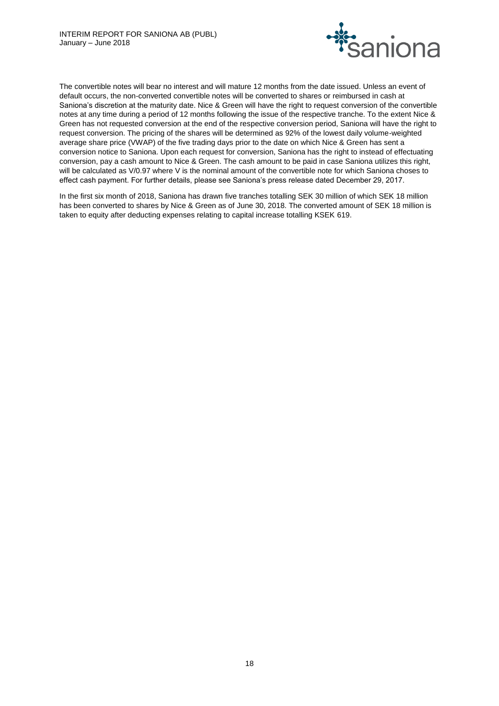

The convertible notes will bear no interest and will mature 12 months from the date issued. Unless an event of default occurs, the non-converted convertible notes will be converted to shares or reimbursed in cash at Saniona's discretion at the maturity date. Nice & Green will have the right to request conversion of the convertible notes at any time during a period of 12 months following the issue of the respective tranche. To the extent Nice & Green has not requested conversion at the end of the respective conversion period, Saniona will have the right to request conversion. The pricing of the shares will be determined as 92% of the lowest daily volume-weighted average share price (VWAP) of the five trading days prior to the date on which Nice & Green has sent a conversion notice to Saniona. Upon each request for conversion, Saniona has the right to instead of effectuating conversion, pay a cash amount to Nice & Green. The cash amount to be paid in case Saniona utilizes this right, will be calculated as V/0.97 where V is the nominal amount of the convertible note for which Saniona choses to effect cash payment. For further details, please see Saniona's press release dated December 29, 2017.

In the first six month of 2018, Saniona has drawn five tranches totalling SEK 30 million of which SEK 18 million has been converted to shares by Nice & Green as of June 30, 2018. The converted amount of SEK 18 million is taken to equity after deducting expenses relating to capital increase totalling KSEK 619.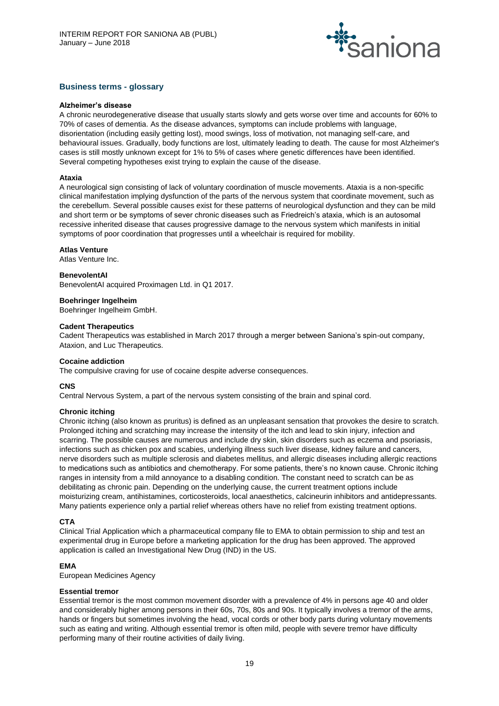

# **Business terms - glossary**

#### **Alzheimer's disease**

A chronic neurodegenerative disease that usually starts slowly and gets worse over time and accounts for 60% to 70% of cases of dementia. As the disease advances, symptoms can include problems with language, disorientation (including easily getting lost), mood swings, loss of motivation, not managing self-care, and behavioural issues. Gradually, body functions are lost, ultimately leading to death. The cause for most Alzheimer's cases is still mostly unknown except for 1% to 5% of cases where genetic differences have been identified. Several competing hypotheses exist trying to explain the cause of the disease.

## **Ataxia**

A neurological sign consisting of lack of voluntary coordination of muscle movements. Ataxia is a non-specific clinical manifestation implying dysfunction of the parts of the nervous system that coordinate movement, such as the cerebellum. Several possible causes exist for these patterns of neurological dysfunction and they can be mild and short term or be symptoms of sever chronic diseases such as Friedreich's ataxia, which is an autosomal recessive inherited disease that causes progressive damage to the nervous system which manifests in initial symptoms of poor coordination that progresses until a wheelchair is required for mobility.

## **Atlas Venture**

Atlas Venture Inc.

#### **BenevolentAI**

BenevolentAI acquired Proximagen Ltd. in Q1 2017.

## **Boehringer Ingelheim**

Boehringer Ingelheim GmbH.

## **Cadent Therapeutics**

Cadent Therapeutics was established in March 2017 through a merger between Saniona's spin-out company, Ataxion, and Luc Therapeutics.

#### **Cocaine addiction**

The compulsive craving for use of cocaine despite adverse consequences.

#### **CNS**

Central Nervous System, a part of the nervous system consisting of the brain and spinal cord.

#### **Chronic itching**

Chronic itching (also known as pruritus) is defined as an unpleasant sensation that provokes the desire to scratch. Prolonged itching and scratching may increase the intensity of the itch and lead to skin injury, infection and scarring. The possible causes are numerous and include dry skin, skin disorders such as eczema and psoriasis, infections such as chicken pox and scabies, underlying illness such liver disease, kidney failure and cancers, nerve disorders such as multiple sclerosis and diabetes mellitus, and allergic diseases including allergic reactions to medications such as antibiotics and chemotherapy. For some patients, there's no known cause. Chronic itching ranges in intensity from a mild annoyance to a disabling condition. The constant need to scratch can be as debilitating as chronic pain. Depending on the underlying cause, the current treatment options include moisturizing cream, antihistamines, corticosteroids, local anaesthetics, calcineurin inhibitors and antidepressants. Many patients experience only a partial relief whereas others have no relief from existing treatment options.

#### **CTA**

Clinical Trial Application which a pharmaceutical company file to EMA to obtain permission to ship and test an experimental drug in Europe before a marketing application for the drug has been approved. The approved application is called an Investigational New Drug (IND) in the US.

# **EMA**

European Medicines Agency

#### **Essential tremor**

Essential tremor is the most common movement disorder with a prevalence of 4% in persons age 40 and older and considerably higher among persons in their 60s, 70s, 80s and 90s. It typically involves a tremor of the arms, hands or fingers but sometimes involving the head, vocal cords or other body parts during voluntary movements such as eating and writing. Although essential tremor is often mild, people with severe tremor have difficulty performing many of their routine activities of daily living.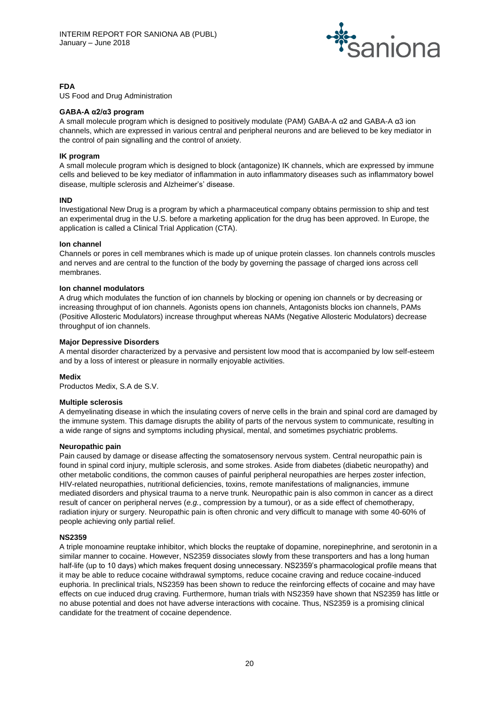

# **FDA**

US Food and Drug Administration

## **GABA-A α2/α3 program**

A small molecule program which is designed to positively modulate (PAM) GABA-A α2 and GABA-A α3 ion channels, which are expressed in various central and peripheral neurons and are believed to be key mediator in the control of pain signalling and the control of anxiety.

## **IK program**

A small molecule program which is designed to block (antagonize) IK channels, which are expressed by immune cells and believed to be key mediator of inflammation in auto inflammatory diseases such as inflammatory bowel disease, multiple sclerosis and Alzheimer's' disease.

## **IND**

Investigational New Drug is a program by which a pharmaceutical company obtains permission to ship and test an experimental drug in the U.S. before a marketing application for the drug has been approved. In Europe, the application is called a Clinical Trial Application (CTA).

## **Ion channel**

Channels or pores in cell membranes which is made up of unique protein classes. Ion channels controls muscles and nerves and are central to the function of the body by governing the passage of charged ions across cell membranes.

## **Ion channel modulators**

A drug which modulates the function of ion channels by blocking or opening ion channels or by decreasing or increasing throughput of ion channels. Agonists opens ion channels, Antagonists blocks ion channels, PAMs (Positive Allosteric Modulators) increase throughput whereas NAMs (Negative Allosteric Modulators) decrease throughput of ion channels.

## **Major Depressive Disorders**

A mental disorder characterized by a pervasive and persistent low mood that is accompanied by low self-esteem and by a loss of interest or pleasure in normally enjoyable activities.

#### **Medix**

Productos Medix, S.A de S.V.

#### **Multiple sclerosis**

A demyelinating disease in which the insulating covers of nerve cells in the brain and spinal cord are damaged by the immune system. This damage disrupts the ability of parts of the nervous system to communicate, resulting in a wide range of signs and symptoms including physical, mental, and sometimes psychiatric problems.

#### **Neuropathic pain**

Pain caused by damage or disease affecting the somatosensory nervous system. Central neuropathic pain is found in spinal cord injury, multiple sclerosis, and some strokes. Aside from diabetes (diabetic neuropathy) and other metabolic conditions, the common causes of painful peripheral neuropathies are herpes zoster infection, HIV-related neuropathies, nutritional deficiencies, toxins, remote manifestations of malignancies, immune mediated disorders and physical trauma to a nerve trunk. Neuropathic pain is also common in cancer as a direct result of cancer on peripheral nerves (*e.g.*, compression by a tumour), or as a side effect of chemotherapy, radiation injury or surgery. Neuropathic pain is often chronic and very difficult to manage with some 40-60% of people achieving only partial relief.

#### **NS2359**

A triple monoamine reuptake inhibitor, which blocks the reuptake of dopamine, norepinephrine, and serotonin in a similar manner to cocaine. However, NS2359 dissociates slowly from these transporters and has a long human half-life (up to 10 days) which makes frequent dosing unnecessary. NS2359's pharmacological profile means that it may be able to reduce cocaine withdrawal symptoms, reduce cocaine craving and reduce cocaine-induced euphoria. In preclinical trials, NS2359 has been shown to reduce the reinforcing effects of cocaine and may have effects on cue induced drug craving. Furthermore, human trials with NS2359 have shown that NS2359 has little or no abuse potential and does not have adverse interactions with cocaine. Thus, NS2359 is a promising clinical candidate for the treatment of cocaine dependence.